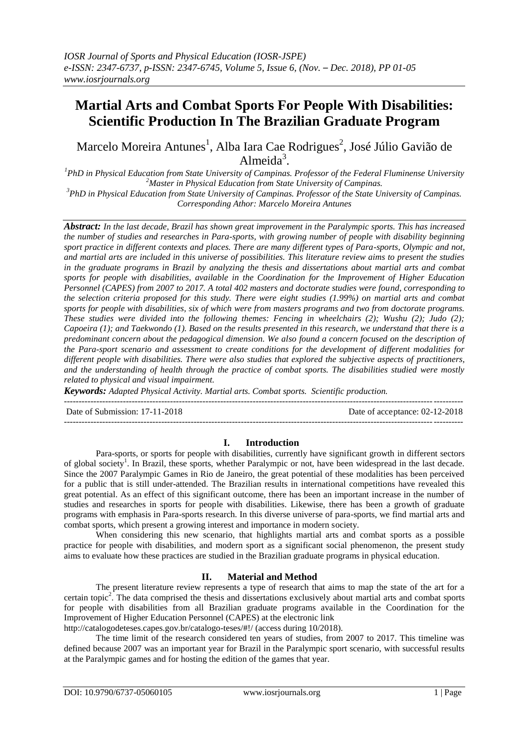# **Martial Arts and Combat Sports For People With Disabilities: Scientific Production In The Brazilian Graduate Program**

Marcelo Moreira Antunes<sup>1</sup>, Alba Iara Cae Rodrigues<sup>2</sup>, José Júlio Gavião de Almeida $3$ .

*PhD in Physical Education from State University of Campinas. Professor of the Federal Fluminense University Master in Physical Education from State University of Campinas. PhD in Physical Education from State University of Campinas. Professor of the State University of Campinas. Corresponding Athor: Marcelo Moreira Antunes*

*Abstract: In the last decade, Brazil has shown great improvement in the Paralympic sports. This has increased the number of studies and researches in Para-sports, with growing number of people with disability beginning sport practice in different contexts and places. There are many different types of Para-sports, Olympic and not, and martial arts are included in this universe of possibilities. This literature review aims to present the studies in the graduate programs in Brazil by analyzing the thesis and dissertations about martial arts and combat sports for people with disabilities, available in the Coordination for the Improvement of Higher Education Personnel (CAPES) from 2007 to 2017. A total 402 masters and doctorate studies were found, corresponding to the selection criteria proposed for this study. There were eight studies (1.99%) on martial arts and combat sports for people with disabilities, six of which were from masters programs and two from doctorate programs. These studies were divided into the following themes: Fencing in wheelchairs (2); Wushu (2); Judo (2); Capoeira (1); and Taekwondo (1). Based on the results presented in this research, we understand that there is a predominant concern about the pedagogical dimension. We also found a concern focused on the description of the Para-sport scenario and assessment to create conditions for the development of different modalities for different people with disabilities. There were also studies that explored the subjective aspects of practitioners, and the understanding of health through the practice of combat sports. The disabilities studied were mostly related to physical and visual impairment.*

*Keywords: Adapted Physical Activity. Martial arts. Combat sports. Scientific production.*

Date of Submission: 17-11-2018 Date of acceptance: 02-12-2018

---------------------------------------------------------------------------------------------------------------------------------------

## **I. Introduction**

---------------------------------------------------------------------------------------------------------------------------------------

Para-sports, or sports for people with disabilities, currently have significant growth in different sectors of global society<sup>1</sup>. In Brazil, these sports, whether Paralympic or not, have been widespread in the last decade. Since the 2007 Paralympic Games in Rio de Janeiro, the great potential of these modalities has been perceived for a public that is still under-attended. The Brazilian results in international competitions have revealed this great potential. As an effect of this significant outcome, there has been an important increase in the number of studies and researches in sports for people with disabilities. Likewise, there has been a growth of graduate programs with emphasis in Para-sports research. In this diverse universe of para-sports, we find martial arts and combat sports, which present a growing interest and importance in modern society.

When considering this new scenario, that highlights martial arts and combat sports as a possible practice for people with disabilities, and modern sport as a significant social phenomenon, the present study aims to evaluate how these practices are studied in the Brazilian graduate programs in physical education.

## **II. Material and Method**

The present literature review represents a type of research that aims to map the state of the art for a certain topic<sup>2</sup>. The data comprised the thesis and dissertations exclusively about martial arts and combat sports for people with disabilities from all Brazilian graduate programs available in the Coordination for the Improvement of Higher Education Personnel (CAPES) at the electronic link

<http://catalogodeteses.capes.gov.br/catalogo-teses/#!/> (access during 10/2018).

The time limit of the research considered ten years of studies, from 2007 to 2017. This timeline was defined because 2007 was an important year for Brazil in the Paralympic sport scenario, with successful results at the Paralympic games and for hosting the edition of the games that year.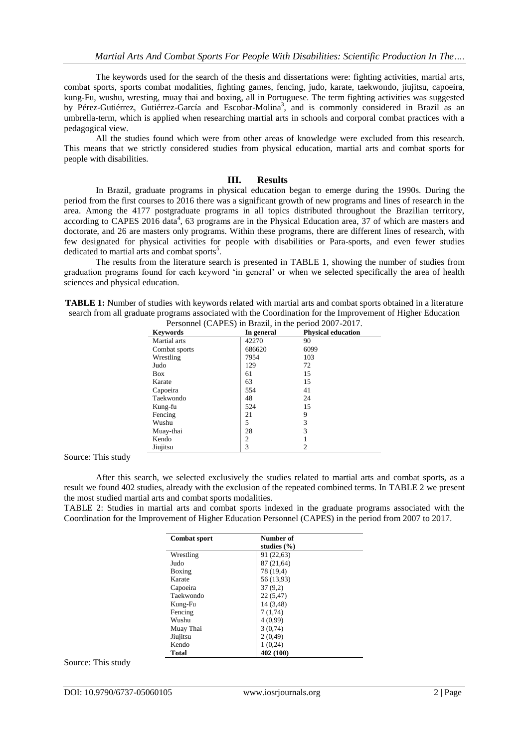The keywords used for the search of the thesis and dissertations were: fighting activities, martial arts, combat sports, sports combat modalities, fighting games, fencing, judo, karate, taekwondo, jiujitsu, capoeira, kung-Fu, wushu, wresting, muay thai and boxing, all in Portuguese. The term fighting activities was suggested by Pérez-Gutiérrez, Gutiérrez-García and Escobar-Molina<sup>3</sup>, and is commonly considered in Brazil as an umbrella-term, which is applied when researching martial arts in schools and corporal combat practices with a pedagogical view.

All the studies found which were from other areas of knowledge were excluded from this research. This means that we strictly considered studies from physical education, martial arts and combat sports for people with disabilities.

### **III. Results**

In Brazil, graduate programs in physical education began to emerge during the 1990s. During the period from the first courses to 2016 there was a significant growth of new programs and lines of research in the area. Among the 4177 postgraduate programs in all topics distributed throughout the Brazilian territory, according to CAPES 2016 data<sup>4</sup>, 63 programs are in the Physical Education area, 37 of which are masters and doctorate, and 26 are masters only programs. Within these programs, there are different lines of research, with few designated for physical activities for people with disabilities or Para-sports, and even fewer studies dedicated to martial arts and combat sports<sup>5</sup>.

The results from the literature search is presented in TABLE 1, showing the number of studies from graduation programs found for each keyword 'in general' or when we selected specifically the area of health sciences and physical education.

**TABLE 1:** Number of studies with keywords related with martial arts and combat sports obtained in a literature search from all graduate programs associated with the Coordination for the Improvement of Higher Education  $\Omega$  (CAPES) in Brazil, in the period 2007-2017.

| Personnel (CAPES) in Brazil, in the period $2007 - 2017$ . |            |                           |  |  |  |  |
|------------------------------------------------------------|------------|---------------------------|--|--|--|--|
| <b>Keywords</b>                                            | In general | <b>Physical education</b> |  |  |  |  |
| Martial arts                                               | 42270      | 90                        |  |  |  |  |
| Combat sports                                              | 686620     | 6099                      |  |  |  |  |
| Wrestling                                                  | 7954       | 103                       |  |  |  |  |
| Judo                                                       | 129        | 72                        |  |  |  |  |
| <b>Box</b>                                                 | 61         | 15                        |  |  |  |  |
| Karate                                                     | 63         | 15                        |  |  |  |  |
| Capoeira                                                   | 554        | 41                        |  |  |  |  |
| Taekwondo                                                  | 48         | 24                        |  |  |  |  |
| Kung-fu                                                    | 524        | 15                        |  |  |  |  |
| Fencing                                                    | 21         | 9                         |  |  |  |  |
| Wushu                                                      | 5          | 3                         |  |  |  |  |
| Muay-thai                                                  | 28         | 3                         |  |  |  |  |
| Kendo                                                      | 2          |                           |  |  |  |  |
| Jiujitsu                                                   | 3          | $\overline{c}$            |  |  |  |  |

Source: This study

After this search, we selected exclusively the studies related to martial arts and combat sports, as a result we found 402 studies, already with the exclusion of the repeated combined terms. In TABLE 2 we present the most studied martial arts and combat sports modalities.

TABLE 2: Studies in martial arts and combat sports indexed in the graduate programs associated with the Coordination for the Improvement of Higher Education Personnel (CAPES) in the period from 2007 to 2017.

| <b>Combat sport</b> | Number of       |  |  |
|---------------------|-----------------|--|--|
|                     | studies $(\% )$ |  |  |
| Wrestling           | 91 (22,63)      |  |  |
| Judo                | 87 (21,64)      |  |  |
| Boxing              | 78 (19.4)       |  |  |
| Karate              | 56 (13.93)      |  |  |
| Capoeira            | 37(9,2)         |  |  |
| Taekwondo           | 22(5,47)        |  |  |
| Kung-Fu             | 14 (3,48)       |  |  |
| Fencing             | 7(1,74)         |  |  |
| Wushu               | 4(0,99)         |  |  |
| Muay Thai           | 3(0,74)         |  |  |
| Jiujitsu            | 2(0,49)         |  |  |
| Kendo               | 1(0,24)         |  |  |
| Total               | 402 (100)       |  |  |

Source: This study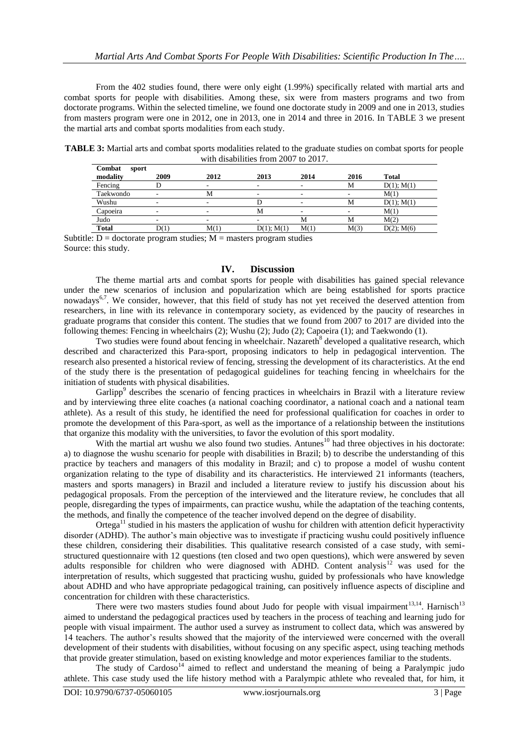From the 402 studies found, there were only eight (1.99%) specifically related with martial arts and combat sports for people with disabilities. Among these, six were from masters programs and two from doctorate programs. Within the selected timeline, we found one doctorate study in 2009 and one in 2013, studies from masters program were one in 2012, one in 2013, one in 2014 and three in 2016. In TABLE 3 we present the martial arts and combat sports modalities from each study.

**TABLE 3:** Martial arts and combat sports modalities related to the graduate studies on combat sports for people with disabilities from 2007 to 2017.

| Combat<br>sport |      |                          |                 |      |      |                 |
|-----------------|------|--------------------------|-----------------|------|------|-----------------|
| modality        | 2009 | 2012                     | 2013            | 2014 | 2016 | <b>Total</b>    |
| Fencing         |      | -                        |                 | -    | М    | D(1); M(1)      |
| Taekwondo       |      | м                        |                 | ۰    |      | M(1)            |
| Wushu           |      | -                        |                 | -    | М    | D(1); M(1)      |
| Capoeira        |      |                          | М               | -    |      | M(1)            |
| Judo            |      | $\overline{\phantom{a}}$ |                 | М    | М    | M(2)            |
| <b>Total</b>    | D(1) | M(1)                     | $D(1)$ ; $M(1)$ | M(1) | M(3) | $D(2)$ ; $M(6)$ |

Subtitle:  $D =$  doctorate program studies;  $M =$  masters program studies Source: this study.

## **IV. Discussion**

The theme martial arts and combat sports for people with disabilities has gained special relevance under the new scenarios of inclusion and popularization which are being established for sports practice nowadays<sup>6,7</sup>. We consider, however, that this field of study has not yet received the deserved attention from researchers, in line with its relevance in contemporary society, as evidenced by the paucity of researches in graduate programs that consider this content. The studies that we found from 2007 to 2017 are divided into the following themes: Fencing in wheelchairs (2); Wushu (2); Judo (2); Capoeira (1); and Taekwondo (1).

Two studies were found about fencing in wheelchair. Nazareth<sup>8</sup> developed a qualitative research, which described and characterized this Para-sport, proposing indicators to help in pedagogical intervention. The research also presented a historical review of fencing, stressing the development of its characteristics. At the end of the study there is the presentation of pedagogical guidelines for teaching fencing in wheelchairs for the initiation of students with physical disabilities.

Garlipp<sup>9</sup> describes the scenario of fencing practices in wheelchairs in Brazil with a literature review and by interviewing three elite coaches (a national coaching coordinator, a national coach and a national team athlete). As a result of this study, he identified the need for professional qualification for coaches in order to promote the development of this Para-sport, as well as the importance of a relationship between the institutions that organize this modality with the universities, to favor the evolution of this sport modality.

With the martial art wushu we also found two studies. Antunes<sup>10</sup> had three objectives in his doctorate: a) to diagnose the wushu scenario for people with disabilities in Brazil; b) to describe the understanding of this practice by teachers and managers of this modality in Brazil; and c) to propose a model of wushu content organization relating to the type of disability and its characteristics. He interviewed 21 informants (teachers, masters and sports managers) in Brazil and included a literature review to justify his discussion about his pedagogical proposals. From the perception of the interviewed and the literature review, he concludes that all people, disregarding the types of impairments, can practice wushu, while the adaptation of the teaching contents, the methods, and finally the competence of the teacher involved depend on the degree of disability.

Ortega<sup>11</sup> studied in his masters the application of wushu for children with attention deficit hyperactivity disorder (ADHD). The author's main objective was to investigate if practicing wushu could positively influence these children, considering their disabilities. This qualitative research consisted of a case study, with semistructured questionnaire with 12 questions (ten closed and two open questions), which were answered by seven adults responsible for children who were diagnosed with  $ADHD$ . Content analysis<sup>12</sup> was used for the interpretation of results, which suggested that practicing wushu, guided by professionals who have knowledge about ADHD and who have appropriate pedagogical training, can positively influence aspects of discipline and concentration for children with these characteristics.

There were two masters studies found about Judo for people with visual impairment $13,14$ . Harnisch $13$ aimed to understand the pedagogical practices used by teachers in the process of teaching and learning judo for people with visual impairment. The author used a survey as instrument to collect data, which was answered by 14 teachers. The author's results showed that the majority of the interviewed were concerned with the overall development of their students with disabilities, without focusing on any specific aspect, using teaching methods that provide greater stimulation, based on existing knowledge and motor experiences familiar to the students.

The study of Cardoso<sup>14</sup> aimed to reflect and understand the meaning of being a Paralympic judo athlete. This case study used the life history method with a Paralympic athlete who revealed that, for him, it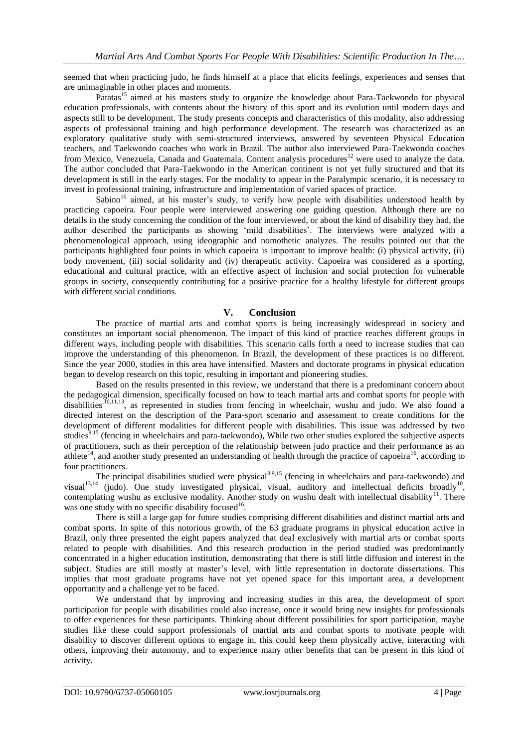seemed that when practicing judo, he finds himself at a place that elicits feelings, experiences and senses that are unimaginable in other places and moments.

Patatas<sup>15</sup> aimed at his masters study to organize the knowledge about Para-Taekwondo for physical education professionals, with contents about the history of this sport and its evolution until modern days and aspects still to be development. The study presents concepts and characteristics of this modality, also addressing aspects of professional training and high performance development. The research was characterized as an exploratory qualitative study with semi-structured interviews, answered by seventeen Physical Education teachers, and Taekwondo coaches who work in Brazil. The author also interviewed Para-Taekwondo coaches from Mexico, Venezuela, Canada and Guatemala. Content analysis procedures<sup>12</sup> were used to analyze the data. The author concluded that Para-Taekwondo in the American continent is not yet fully structured and that its development is still in the early stages. For the modality to appear in the Paralympic scenario, it is necessary to invest in professional training, infrastructure and implementation of varied spaces of practice.

Sabino<sup>16</sup> aimed, at his master's study, to verify how people with disabilities understood health by practicing capoeira. Four people were interviewed answering one guiding question. Although there are no details in the study concerning the condition of the four interviewed, or about the kind of disability they had, the author described the participants as showing 'mild disabilities'. The interviews were analyzed with a phenomenological approach, using ideographic and nomothetic analyzes. The results pointed out that the participants highlighted four points in which capoeira is important to improve health: (i) physical activity, (ii) body movement, (iii) social solidarity and (iv) therapeutic activity. Capoeira was considered as a sporting, educational and cultural practice, with an effective aspect of inclusion and social protection for vulnerable groups in society, consequently contributing for a positive practice for a healthy lifestyle for different groups with different social conditions.

## **V. Conclusion**

The practice of martial arts and combat sports is being increasingly widespread in society and constitutes an important social phenomenon. The impact of this kind of practice reaches different groups in different ways, including people with disabilities. This scenario calls forth a need to increase studies that can improve the understanding of this phenomenon. In Brazil, the development of these practices is no different. Since the year 2000, studies in this area have intensified. Masters and doctorate programs in physical education began to develop research on this topic, resulting in important and pioneering studies.

Based on the results presented in this review, we understand that there is a predominant concern about the pedagogical dimension, specifically focused on how to teach martial arts and combat sports for people with disabilities<sup>10,11,13</sup>, as represented in studies from fencing in wheelchair, wushu and judo. We also found a directed interest on the description of the Para-sport scenario and assessment to create conditions for the development of different modalities for different people with disabilities. This issue was addressed by two studies $\overline{s}^{0,15}$  (fencing in wheelchairs and para-taekwondo), While two other studies explored the subjective aspects of practitioners, such as their perception of the relationship between judo practice and their performance as an athlete<sup>14</sup>, and another study presented an understanding of health through the practice of capoeira<sup>16</sup>, according to four practitioners.

The principal disabilities studied were physical<sup>8,9,15</sup> (fencing in wheelchairs and para-taekwondo) and visual<sup>13,14</sup> (judo). One study investigated physical, visual, auditory and intellectual deficits broadly<sup>10</sup>, contemplating wushu as exclusive modality. Another study on wushu dealt with intellectual disability<sup>11</sup>. There was one study with no specific disability focused<sup>16</sup>.

There is still a large gap for future studies comprising different disabilities and distinct martial arts and combat sports. In spite of this notorious growth, of the 63 graduate programs in physical education active in Brazil, only three presented the eight papers analyzed that deal exclusively with martial arts or combat sports related to people with disabilities. And this research production in the period studied was predominantly concentrated in a higher education institution, demonstrating that there is still little diffusion and interest in the subject. Studies are still mostly at master's level, with little representation in doctorate dissertations. This implies that most graduate programs have not yet opened space for this important area, a development opportunity and a challenge yet to be faced.

We understand that by improving and increasing studies in this area, the development of sport participation for people with disabilities could also increase, once it would bring new insights for professionals to offer experiences for these participants. Thinking about different possibilities for sport participation, maybe studies like these could support professionals of martial arts and combat sports to motivate people with disability to discover different options to engage in, this could keep them physically active, interacting with others, improving their autonomy, and to experience many other benefits that can be present in this kind of activity.